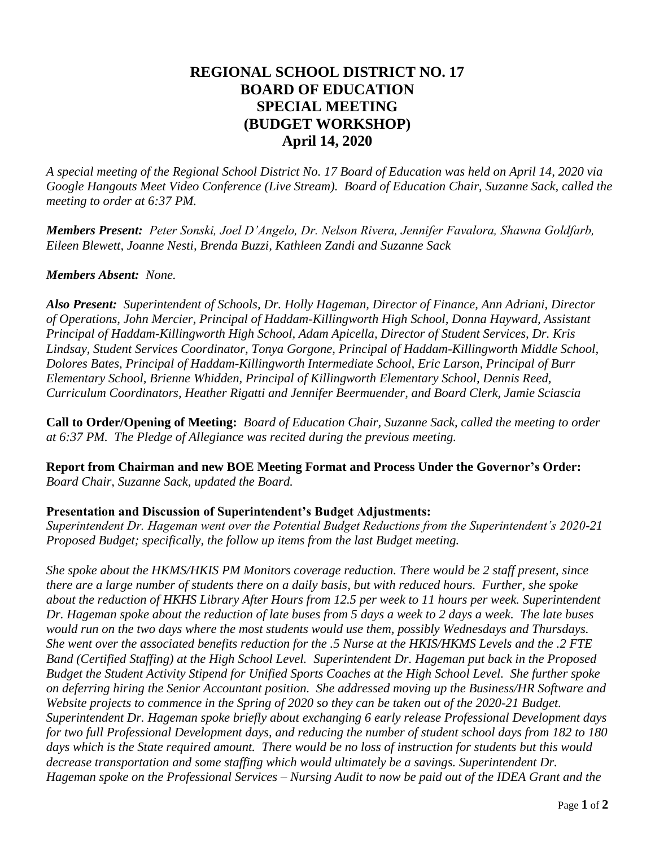## **REGIONAL SCHOOL DISTRICT NO. 17 BOARD OF EDUCATION SPECIAL MEETING (BUDGET WORKSHOP) April 14, 2020**

*A special meeting of the Regional School District No. 17 Board of Education was held on April 14, 2020 via Google Hangouts Meet Video Conference (Live Stream). Board of Education Chair, Suzanne Sack, called the meeting to order at 6:37 PM.*

*Members Present: Peter Sonski, Joel D'Angelo, Dr. Nelson Rivera, Jennifer Favalora, Shawna Goldfarb, Eileen Blewett, Joanne Nesti, Brenda Buzzi, Kathleen Zandi and Suzanne Sack*

## *Members Absent: None.*

*Also Present: Superintendent of Schools, Dr. Holly Hageman, Director of Finance, Ann Adriani, Director of Operations, John Mercier, Principal of Haddam-Killingworth High School, Donna Hayward, Assistant Principal of Haddam-Killingworth High School, Adam Apicella, Director of Student Services, Dr. Kris Lindsay, Student Services Coordinator, Tonya Gorgone, Principal of Haddam-Killingworth Middle School, Dolores Bates, Principal of Haddam-Killingworth Intermediate School, Eric Larson, Principal of Burr Elementary School, Brienne Whidden, Principal of Killingworth Elementary School, Dennis Reed, Curriculum Coordinators, Heather Rigatti and Jennifer Beermuender, and Board Clerk, Jamie Sciascia* 

**Call to Order/Opening of Meeting:** *Board of Education Chair, Suzanne Sack, called the meeting to order at 6:37 PM. The Pledge of Allegiance was recited during the previous meeting.*

**Report from Chairman and new BOE Meeting Format and Process Under the Governor's Order:** *Board Chair, Suzanne Sack, updated the Board.*

## **Presentation and Discussion of Superintendent's Budget Adjustments:**

*Superintendent Dr. Hageman went over the Potential Budget Reductions from the Superintendent's 2020-21 Proposed Budget; specifically, the follow up items from the last Budget meeting.*

*She spoke about the HKMS/HKIS PM Monitors coverage reduction. There would be 2 staff present, since there are a large number of students there on a daily basis, but with reduced hours. Further, she spoke about the reduction of HKHS Library After Hours from 12.5 per week to 11 hours per week. Superintendent Dr. Hageman spoke about the reduction of late buses from 5 days a week to 2 days a week. The late buses would run on the two days where the most students would use them, possibly Wednesdays and Thursdays. She went over the associated benefits reduction for the .5 Nurse at the HKIS/HKMS Levels and the .2 FTE Band (Certified Staffing) at the High School Level. Superintendent Dr. Hageman put back in the Proposed Budget the Student Activity Stipend for Unified Sports Coaches at the High School Level. She further spoke on deferring hiring the Senior Accountant position. She addressed moving up the Business/HR Software and Website projects to commence in the Spring of 2020 so they can be taken out of the 2020-21 Budget. Superintendent Dr. Hageman spoke briefly about exchanging 6 early release Professional Development days for two full Professional Development days, and reducing the number of student school days from 182 to 180 days which is the State required amount. There would be no loss of instruction for students but this would decrease transportation and some staffing which would ultimately be a savings. Superintendent Dr. Hageman spoke on the Professional Services – Nursing Audit to now be paid out of the IDEA Grant and the*